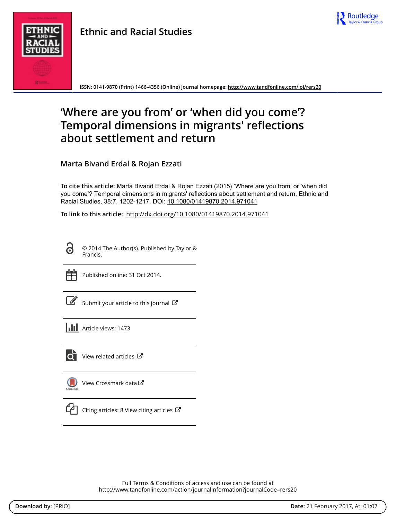

**Ethnic and Racial Studies**

**ISSN: 0141-9870 (Print) 1466-4356 (Online) Journal homepage:<http://www.tandfonline.com/loi/rers20>**

# **'Where are you from' or 'when did you come'? Temporal dimensions in migrants' reflections about settlement and return**

**Marta Bivand Erdal & Rojan Ezzati**

**To cite this article:** Marta Bivand Erdal & Rojan Ezzati (2015) 'Where are you from' or 'when did you come'? Temporal dimensions in migrants' reflections about settlement and return, Ethnic and Racial Studies, 38:7, 1202-1217, DOI: [10.1080/01419870.2014.971041](http://www.tandfonline.com/action/showCitFormats?doi=10.1080/01419870.2014.971041)

**To link to this article:** <http://dx.doi.org/10.1080/01419870.2014.971041>

© 2014 The Author(s). Published by Taylor & Francis.



6

Published online: 31 Oct 2014.

| I |
|---|
|---|

[Submit your article to this journal](http://www.tandfonline.com/action/authorSubmission?journalCode=rers20&show=instructions)  $\mathbb{Z}$ 

**III** Article views: 1473



 $\overline{Q}$  [View related articles](http://www.tandfonline.com/doi/mlt/10.1080/01419870.2014.971041)  $\mathbb{Z}$ 

[View Crossmark data](http://crossmark.crossref.org/dialog/?doi=10.1080/01419870.2014.971041&domain=pdf&date_stamp=2014-10-31)



 $\mathbb{F}$  [Citing articles: 8 View citing articles](http://www.tandfonline.com/doi/citedby/10.1080/01419870.2014.971041#tabModule)  $\mathbb{F}$ 

Full Terms & Conditions of access and use can be found at <http://www.tandfonline.com/action/journalInformation?journalCode=rers20>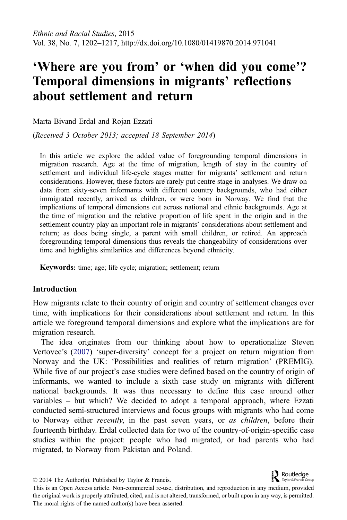## 'Where are you from' or 'when did you come'? Temporal dimensions in migrants' reflections about settlement and return

Marta Bivand Erdal and Rojan Ezzati

(Received 3 October 2013; accepted 18 September 2014)

In this article we explore the added value of foregrounding temporal dimensions in migration research. Age at the time of migration, length of stay in the country of settlement and individual life-cycle stages matter for migrants' settlement and return considerations. However, these factors are rarely put centre stage in analyses. We draw on data from sixty-seven informants with different country backgrounds, who had either immigrated recently, arrived as children, or were born in Norway. We find that the implications of temporal dimensions cut across national and ethnic backgrounds. Age at the time of migration and the relative proportion of life spent in the origin and in the settlement country play an important role in migrants' considerations about settlement and return; as does being single, a parent with small children, or retired. An approach foregrounding temporal dimensions thus reveals the changeability of considerations over time and highlights similarities and differences beyond ethnicity.

Keywords: time; age; life cycle; migration; settlement; return

### Introduction

How migrants relate to their country of origin and country of settlement changes over time, with implications for their considerations about settlement and return. In this article we foreground temporal dimensions and explore what the implications are for migration research.

The idea originates from our thinking about how to operationalize Steven Vertovec's [\(2007](#page-16-0)) 'super-diversity' concept for a project on return migration from Norway and the UK: 'Possibilities and realities of return migration' (PREMIG). While five of our project's case studies were defined based on the country of origin of informants, we wanted to include a sixth case study on migrants with different national backgrounds. It was thus necessary to define this case around other variables – but which? We decided to adopt a temporal approach, where Ezzati conducted semi-structured interviews and focus groups with migrants who had come to Norway either *recently*, in the past seven years, or *as children*, before their fourteenth birthday. Erdal collected data for two of the country-of-origin-specific case studies within the project: people who had migrated, or had parents who had migrated, to Norway from Pakistan and Poland.



 $\sum_{\text{Baylor } \text{A Francis Gr}}$ Taylor & Francis Group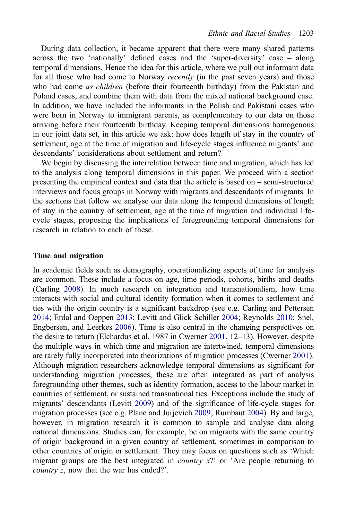During data collection, it became apparent that there were many shared patterns across the two 'nationally' defined cases and the 'super-diversity' case – along temporal dimensions. Hence the idea for this article, where we pull out informant data for all those who had come to Norway *recently* (in the past seven years) and those who had come *as children* (before their fourteenth birthday) from the Pakistan and Poland cases, and combine them with data from the mixed national background case. In addition, we have included the informants in the Polish and Pakistani cases who were born in Norway to immigrant parents, as complementary to our data on those arriving before their fourteenth birthday. Keeping temporal dimensions homogenous in our joint data set, in this article we ask: how does length of stay in the country of settlement, age at the time of migration and life-cycle stages influence migrants' and descendants' considerations about settlement and return?

We begin by discussing the interrelation between time and migration, which has led to the analysis along temporal dimensions in this paper. We proceed with a section presenting the empirical context and data that the article is based on – semi-structured interviews and focus groups in Norway with migrants and descendants of migrants. In the sections that follow we analyse our data along the temporal dimensions of length of stay in the country of settlement, age at the time of migration and individual lifecycle stages, proposing the implications of foregrounding temporal dimensions for research in relation to each of these.

#### Time and migration

In academic fields such as demography, operationalizing aspects of time for analysis are common. These include a focus on age, time periods, cohorts, births and deaths (Carling [2008\)](#page-14-0). In much research on integration and transnationalism, how time interacts with social and cultural identity formation when it comes to settlement and ties with the origin country is a significant backdrop (see e.g. Carling and Pettersen [2014;](#page-14-0) Erdal and Oeppen [2013](#page-14-0); Levitt and Glick Schiller [2004;](#page-15-0) Reynolds [2010](#page-16-0); Snel, Engbersen, and Leerkes [2006\)](#page-16-0). Time is also central in the changing perspectives on the desire to return (Elchardus et al. 1987 in Cwerner [2001,](#page-14-0) 12–13). However, despite the multiple ways in which time and migration are intertwined, temporal dimensions are rarely fully incorporated into theorizations of migration processes (Cwerner [2001\)](#page-14-0). Although migration researchers acknowledge temporal dimensions as significant for understanding migration processes, these are often integrated as part of analysis foregrounding other themes, such as identity formation, access to the labour market in countries of settlement, or sustained transnational ties. Exceptions include the study of migrants' descendants (Levitt [2009\)](#page-15-0) and of the significance of life-cycle stages for migration processes (see e.g. Plane and Jurjevich [2009;](#page-15-0) Rumbaut [2004](#page-16-0)). By and large, however, in migration research it is common to sample and analyse data along national dimensions. Studies can, for example, be on migrants with the same country of origin background in a given country of settlement, sometimes in comparison to other countries of origin or settlement. They may focus on questions such as 'Which migrant groups are the best integrated in *country*  $x$ ? or 'Are people returning to country z, now that the war has ended?'.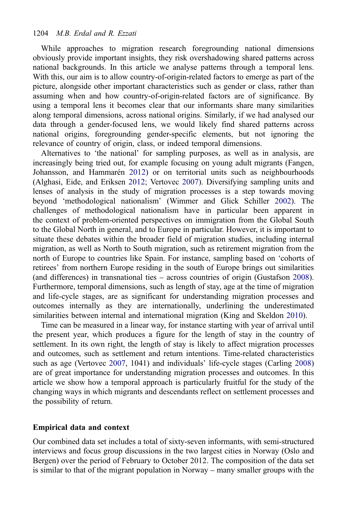#### 1204 M.B. Erdal and R. Ezzati

While approaches to migration research foregrounding national dimensions obviously provide important insights, they risk overshadowing shared patterns across national backgrounds. In this article we analyse patterns through a temporal lens. With this, our aim is to allow country-of-origin-related factors to emerge as part of the picture, alongside other important characteristics such as gender or class, rather than assuming when and how country-of-origin-related factors are of significance. By using a temporal lens it becomes clear that our informants share many similarities along temporal dimensions, across national origins. Similarly, if we had analysed our data through a gender-focused lens, we would likely find shared patterns across national origins, foregrounding gender-specific elements, but not ignoring the relevance of country of origin, class, or indeed temporal dimensions.

Alternatives to 'the national' for sampling purposes, as well as in analysis, are increasingly being tried out, for example focusing on young adult migrants (Fangen, Johansson, and Hammarén [2012\)](#page-14-0) or on territorial units such as neighbourhoods (Alghasi, Eide, and Eriksen [2012;](#page-14-0) Vertovec [2007](#page-16-0)). Diversifying sampling units and lenses of analysis in the study of migration processes is a step towards moving beyond 'methodological nationalism' (Wimmer and Glick Schiller [2002](#page-16-0)). The challenges of methodological nationalism have in particular been apparent in the context of problem-oriented perspectives on immigration from the Global South to the Global North in general, and to Europe in particular. However, it is important to situate these debates within the broader field of migration studies, including internal migration, as well as North to South migration, such as retirement migration from the north of Europe to countries like Spain. For instance, sampling based on 'cohorts of retirees' from northern Europe residing in the south of Europe brings out similarities (and differences) in transnational ties – across countries of origin (Gustafson [2008\)](#page-15-0). Furthermore, temporal dimensions, such as length of stay, age at the time of migration and life-cycle stages, are as significant for understanding migration processes and outcomes internally as they are internationally, underlining the underestimated similarities between internal and international migration (King and Skeldon [2010](#page-15-0)).

Time can be measured in a linear way, for instance starting with year of arrival until the present year, which produces a figure for the length of stay in the country of settlement. In its own right, the length of stay is likely to affect migration processes and outcomes, such as settlement and return intentions. Time-related characteristics such as age (Vertovec [2007](#page-16-0), 1041) and individuals' life-cycle stages (Carling [2008](#page-14-0)) are of great importance for understanding migration processes and outcomes. In this article we show how a temporal approach is particularly fruitful for the study of the changing ways in which migrants and descendants reflect on settlement processes and the possibility of return.

#### Empirical data and context

Our combined data set includes a total of sixty-seven informants, with semi-structured interviews and focus group discussions in the two largest cities in Norway (Oslo and Bergen) over the period of February to October 2012. The composition of the data set is similar to that of the migrant population in Norway – many smaller groups with the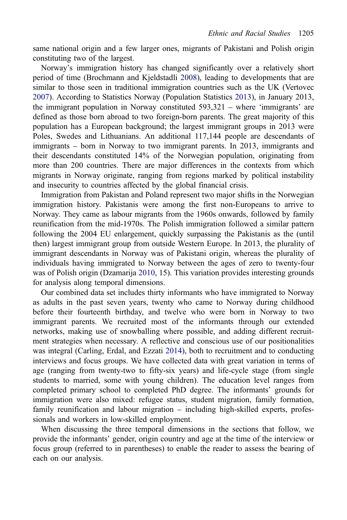same national origin and a few larger ones, migrants of Pakistani and Polish origin constituting two of the largest.

Norway's immigration history has changed significantly over a relatively short period of time (Brochmann and Kjeldstadli [2008](#page-14-0)), leading to developments that are similar to those seen in traditional immigration countries such as the UK (Vertovec [2007\)](#page-16-0). According to Statistics Norway (Population Statistics [2013\)](#page-15-0), in January 2013, the immigrant population in Norway constituted 593,321 – where 'immigrants' are defined as those born abroad to two foreign-born parents. The great majority of this population has a European background; the largest immigrant groups in 2013 were Poles, Swedes and Lithuanians. An additional 117,144 people are descendants of immigrants – born in Norway to two immigrant parents. In 2013, immigrants and their descendants constituted 14% of the Norwegian population, originating from more than 200 countries. There are major differences in the contexts from which migrants in Norway originate, ranging from regions marked by political instability and insecurity to countries affected by the global financial crisis.

Immigration from Pakistan and Poland represent two major shifts in the Norwegian immigration history. Pakistanis were among the first non-Europeans to arrive to Norway. They came as labour migrants from the 1960s onwards, followed by family reunification from the mid-1970s. The Polish immigration followed a similar pattern following the 2004 EU enlargement, quickly surpassing the Pakistanis as the (until then) largest immigrant group from outside Western Europe. In 2013, the plurality of immigrant descendants in Norway was of Pakistani origin, whereas the plurality of individuals having immigrated to Norway between the ages of zero to twenty-four was of Polish origin (Dzamarija [2010,](#page-14-0) 15). This variation provides interesting grounds for analysis along temporal dimensions.

Our combined data set includes thirty informants who have immigrated to Norway as adults in the past seven years, twenty who came to Norway during childhood before their fourteenth birthday, and twelve who were born in Norway to two immigrant parents. We recruited most of the informants through our extended networks, making use of snowballing where possible, and adding different recruitment strategies when necessary. A reflective and conscious use of our positionalities was integral (Carling, Erdal, and Ezzati [2014](#page-14-0)), both to recruitment and to conducting interviews and focus groups. We have collected data with great variation in terms of age (ranging from twenty-two to fifty-six years) and life-cycle stage (from single students to married, some with young children). The education level ranges from completed primary school to completed PhD degree. The informants' grounds for immigration were also mixed: refugee status, student migration, family formation, family reunification and labour migration – including high-skilled experts, professionals and workers in low-skilled employment.

When discussing the three temporal dimensions in the sections that follow, we provide the informants' gender, origin country and age at the time of the interview or focus group (referred to in parentheses) to enable the reader to assess the bearing of each on our analysis.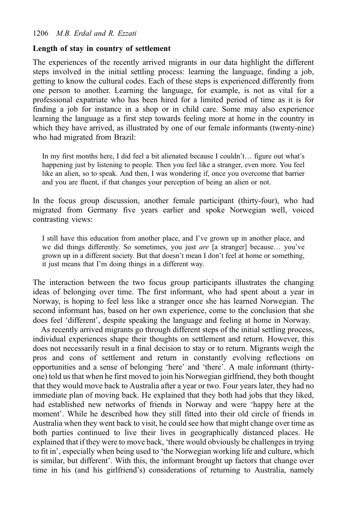#### Length of stay in country of settlement

The experiences of the recently arrived migrants in our data highlight the different steps involved in the initial settling process: learning the language, finding a job, getting to know the cultural codes. Each of these steps is experienced differently from one person to another. Learning the language, for example, is not as vital for a professional expatriate who has been hired for a limited period of time as it is for finding a job for instance in a shop or in child care. Some may also experience learning the language as a first step towards feeling more at home in the country in which they have arrived, as illustrated by one of our female informants (twenty-nine) who had migrated from Brazil:

In my first months here, I did feel a bit alienated because I couldn't… figure out what's happening just by listening to people. Then you feel like a stranger, even more. You feel like an alien, so to speak. And then, I was wondering if, once you overcome that barrier and you are fluent, if that changes your perception of being an alien or not.

In the focus group discussion, another female participant (thirty-four), who had migrated from Germany five years earlier and spoke Norwegian well, voiced contrasting views:

I still have this education from another place, and I've grown up in another place, and we did things differently. So sometimes, you just are [a stranger] because... you've grown up in a different society. But that doesn't mean I don't feel at home or something, it just means that I'm doing things in a different way.

The interaction between the two focus group participants illustrates the changing ideas of belonging over time. The first informant, who had spent about a year in Norway, is hoping to feel less like a stranger once she has learned Norwegian. The second informant has, based on her own experience, come to the conclusion that she does feel 'different', despite speaking the language and feeling at home in Norway.

As recently arrived migrants go through different steps of the initial settling process, individual experiences shape their thoughts on settlement and return. However, this does not necessarily result in a final decision to stay or to return. Migrants weigh the pros and cons of settlement and return in constantly evolving reflections on opportunities and a sense of belonging 'here' and 'there'. A male informant (thirtyone) told us that when he first moved to join his Norwegian girlfriend, they both thought that they would move back to Australia after a year or two. Four years later, they had no immediate plan of moving back. He explained that they both had jobs that they liked, had established new networks of friends in Norway and were 'happy here at the moment'. While he described how they still fitted into their old circle of friends in Australia when they went back to visit, he could see how that might change over time as both parties continued to live their lives in geographically distanced places. He explained that if they were to move back, 'there would obviously be challenges in trying to fit in', especially when being used to 'the Norwegian working life and culture, which is similar, but different'. With this, the informant brought up factors that change over time in his (and his girlfriend's) considerations of returning to Australia, namely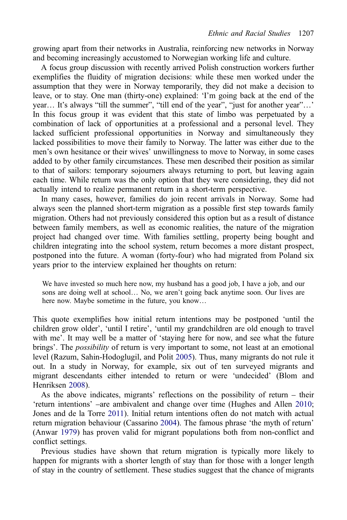growing apart from their networks in Australia, reinforcing new networks in Norway and becoming increasingly accustomed to Norwegian working life and culture.

A focus group discussion with recently arrived Polish construction workers further exemplifies the fluidity of migration decisions: while these men worked under the assumption that they were in Norway temporarily, they did not make a decision to leave, or to stay. One man (thirty-one) explained: 'I'm going back at the end of the year… It's always "till the summer", "till end of the year", "just for another year"…' In this focus group it was evident that this state of limbo was perpetuated by a combination of lack of opportunities at a professional and a personal level. They lacked sufficient professional opportunities in Norway and simultaneously they lacked possibilities to move their family to Norway. The latter was either due to the men's own hesitance or their wives' unwillingness to move to Norway, in some cases added to by other family circumstances. These men described their position as similar to that of sailors: temporary sojourners always returning to port, but leaving again each time. While return was the only option that they were considering, they did not actually intend to realize permanent return in a short-term perspective.

In many cases, however, families do join recent arrivals in Norway. Some had always seen the planned short-term migration as a possible first step towards family migration. Others had not previously considered this option but as a result of distance between family members, as well as economic realities, the nature of the migration project had changed over time. With families settling, property being bought and children integrating into the school system, return becomes a more distant prospect, postponed into the future. A woman (forty-four) who had migrated from Poland six years prior to the interview explained her thoughts on return:

We have invested so much here now, my husband has a good job, I have a job, and our sons are doing well at school… No, we aren't going back anytime soon. Our lives are here now. Maybe sometime in the future, you know…

This quote exemplifies how initial return intentions may be postponed 'until the children grow older', 'until I retire', 'until my grandchildren are old enough to travel with me'. It may well be a matter of 'staying here for now, and see what the future brings'. The *possibility* of return is very important to some, not least at an emotional level (Razum, Sahin-Hodoglugil, and Polit [2005\)](#page-15-0). Thus, many migrants do not rule it out. In a study in Norway, for example, six out of ten surveyed migrants and migrant descendants either intended to return or were 'undecided' (Blom and Henriksen [2008\)](#page-14-0).

As the above indicates, migrants' reflections on the possibility of return – their 'return intentions' –are ambivalent and change over time (Hughes and Allen [2010;](#page-15-0) Jones and de la Torre [2011](#page-15-0)). Initial return intentions often do not match with actual return migration behaviour (Cassarino [2004](#page-14-0)). The famous phrase 'the myth of return' (Anwar [1979](#page-14-0)) has proven valid for migrant populations both from non-conflict and conflict settings.

Previous studies have shown that return migration is typically more likely to happen for migrants with a shorter length of stay than for those with a longer length of stay in the country of settlement. These studies suggest that the chance of migrants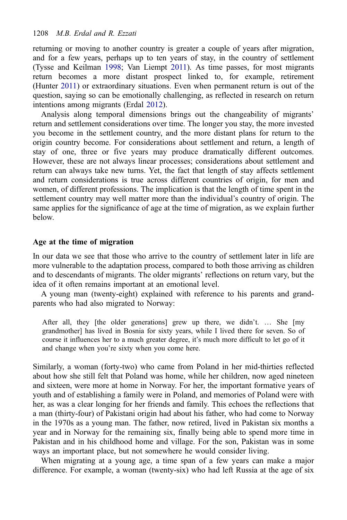returning or moving to another country is greater a couple of years after migration, and for a few years, perhaps up to ten years of stay, in the country of settlement (Tysse and Keilman [1998;](#page-16-0) Van Liempt [2011\)](#page-16-0). As time passes, for most migrants return becomes a more distant prospect linked to, for example, retirement (Hunter [2011](#page-15-0)) or extraordinary situations. Even when permanent return is out of the question, saying so can be emotionally challenging, as reflected in research on return intentions among migrants (Erdal [2012\)](#page-14-0).

Analysis along temporal dimensions brings out the changeability of migrants' return and settlement considerations over time. The longer you stay, the more invested you become in the settlement country, and the more distant plans for return to the origin country become. For considerations about settlement and return, a length of stay of one, three or five years may produce dramatically different outcomes. However, these are not always linear processes; considerations about settlement and return can always take new turns. Yet, the fact that length of stay affects settlement and return considerations is true across different countries of origin, for men and women, of different professions. The implication is that the length of time spent in the settlement country may well matter more than the individual's country of origin. The same applies for the significance of age at the time of migration, as we explain further below.

#### Age at the time of migration

In our data we see that those who arrive to the country of settlement later in life are more vulnerable to the adaptation process, compared to both those arriving as children and to descendants of migrants. The older migrants' reflections on return vary, but the idea of it often remains important at an emotional level.

A young man (twenty-eight) explained with reference to his parents and grandparents who had also migrated to Norway:

After all, they [the older generations] grew up there, we didn't. … She [my grandmother] has lived in Bosnia for sixty years, while I lived there for seven. So of course it influences her to a much greater degree, it's much more difficult to let go of it and change when you're sixty when you come here.

Similarly, a woman (forty-two) who came from Poland in her mid-thirties reflected about how she still felt that Poland was home, while her children, now aged nineteen and sixteen, were more at home in Norway. For her, the important formative years of youth and of establishing a family were in Poland, and memories of Poland were with her, as was a clear longing for her friends and family. This echoes the reflections that a man (thirty-four) of Pakistani origin had about his father, who had come to Norway in the 1970s as a young man. The father, now retired, lived in Pakistan six months a year and in Norway for the remaining six, finally being able to spend more time in Pakistan and in his childhood home and village. For the son, Pakistan was in some ways an important place, but not somewhere he would consider living.

When migrating at a young age, a time span of a few years can make a major difference. For example, a woman (twenty-six) who had left Russia at the age of six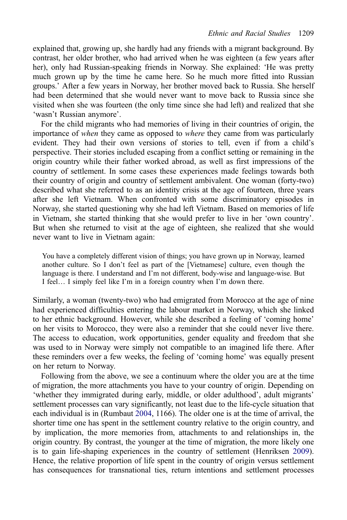explained that, growing up, she hardly had any friends with a migrant background. By contrast, her older brother, who had arrived when he was eighteen (a few years after her), only had Russian-speaking friends in Norway. She explained: 'He was pretty much grown up by the time he came here. So he much more fitted into Russian groups.' After a few years in Norway, her brother moved back to Russia. She herself had been determined that she would never want to move back to Russia since she visited when she was fourteen (the only time since she had left) and realized that she 'wasn't Russian anymore'.

For the child migrants who had memories of living in their countries of origin, the importance of when they came as opposed to where they came from was particularly evident. They had their own versions of stories to tell, even if from a child's perspective. Their stories included escaping from a conflict setting or remaining in the origin country while their father worked abroad, as well as first impressions of the country of settlement. In some cases these experiences made feelings towards both their country of origin and country of settlement ambivalent. One woman (forty-two) described what she referred to as an identity crisis at the age of fourteen, three years after she left Vietnam. When confronted with some discriminatory episodes in Norway, she started questioning why she had left Vietnam. Based on memories of life in Vietnam, she started thinking that she would prefer to live in her 'own country'. But when she returned to visit at the age of eighteen, she realized that she would never want to live in Vietnam again:

You have a completely different vision of things; you have grown up in Norway, learned another culture. So I don't feel as part of the [Vietnamese] culture, even though the language is there. I understand and I'm not different, body-wise and language-wise. But I feel… I simply feel like I'm in a foreign country when I'm down there.

Similarly, a woman (twenty-two) who had emigrated from Morocco at the age of nine had experienced difficulties entering the labour market in Norway, which she linked to her ethnic background. However, while she described a feeling of 'coming home' on her visits to Morocco, they were also a reminder that she could never live there. The access to education, work opportunities, gender equality and freedom that she was used to in Norway were simply not compatible to an imagined life there. After these reminders over a few weeks, the feeling of 'coming home' was equally present on her return to Norway.

Following from the above, we see a continuum where the older you are at the time of migration, the more attachments you have to your country of origin. Depending on 'whether they immigrated during early, middle, or older adulthood', adult migrants' settlement processes can vary significantly, not least due to the life-cycle situation that each individual is in (Rumbaut [2004,](#page-16-0) 1166). The older one is at the time of arrival, the shorter time one has spent in the settlement country relative to the origin country, and by implication, the more memories from, attachments to and relationships in, the origin country. By contrast, the younger at the time of migration, the more likely one is to gain life-shaping experiences in the country of settlement (Henriksen [2009\)](#page-15-0). Hence, the relative proportion of life spent in the country of origin versus settlement has consequences for transnational ties, return intentions and settlement processes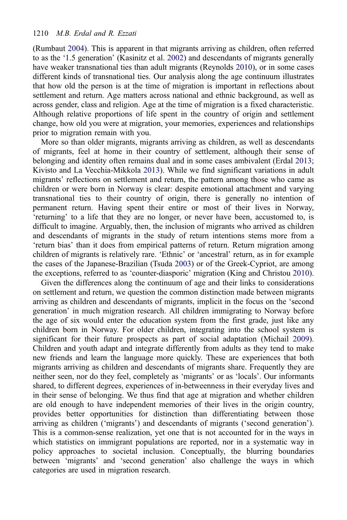(Rumbaut [2004](#page-16-0)). This is apparent in that migrants arriving as children, often referred to as the '1.5 generation' (Kasinitz et al. [2002](#page-15-0)) and descendants of migrants generally have weaker transnational ties than adult migrants (Reynolds [2010\)](#page-16-0), or in some cases different kinds of transnational ties. Our analysis along the age continuum illustrates that how old the person is at the time of migration is important in reflections about settlement and return. Age matters across national and ethnic background, as well as across gender, class and religion. Age at the time of migration is a fixed characteristic. Although relative proportions of life spent in the country of origin and settlement change, how old you were at migration, your memories, experiences and relationships prior to migration remain with you.

More so than older migrants, migrants arriving as children, as well as descendants of migrants, feel at home in their country of settlement, although their sense of belonging and identity often remains dual and in some cases ambivalent (Erdal [2013;](#page-14-0) Kivisto and La Vecchia-Mikkola [2013\)](#page-15-0). While we find significant variations in adult migrants' reflections on settlement and return, the pattern among those who came as children or were born in Norway is clear: despite emotional attachment and varying transnational ties to their country of origin, there is generally no intention of permanent return. Having spent their entire or most of their lives in Norway, 'returning' to a life that they are no longer, or never have been, accustomed to, is difficult to imagine. Arguably, then, the inclusion of migrants who arrived as children and descendants of migrants in the study of return intentions stems more from a 'return bias' than it does from empirical patterns of return. Return migration among children of migrants is relatively rare. 'Ethnic' or 'ancestral' return, as in for example the cases of the Japanese-Brazilian (Tsuda [2003\)](#page-16-0) or of the Greek-Cypriot, are among the exceptions, referred to as 'counter-diasporic' migration (King and Christou [2010\)](#page-15-0).

Given the differences along the continuum of age and their links to considerations on settlement and return, we question the common distinction made between migrants arriving as children and descendants of migrants, implicit in the focus on the 'second generation' in much migration research. All children immigrating to Norway before the age of six would enter the education system from the first grade, just like any children born in Norway. For older children, integrating into the school system is significant for their future prospects as part of social adaptation (Michail [2009\)](#page-15-0). Children and youth adapt and integrate differently from adults as they tend to make new friends and learn the language more quickly. These are experiences that both migrants arriving as children and descendants of migrants share. Frequently they are neither seen, nor do they feel, completely as 'migrants' or as 'locals'. Our informants shared, to different degrees, experiences of in-betweenness in their everyday lives and in their sense of belonging. We thus find that age at migration and whether children are old enough to have independent memories of their lives in the origin country, provides better opportunities for distinction than differentiating between those arriving as children ('migrants') and descendants of migrants ('second generation'). This is a common-sense realization, yet one that is not accounted for in the ways in which statistics on immigrant populations are reported, nor in a systematic way in policy approaches to societal inclusion. Conceptually, the blurring boundaries between 'migrants' and 'second generation' also challenge the ways in which categories are used in migration research.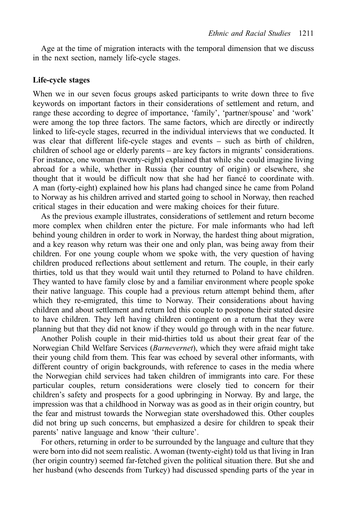Age at the time of migration interacts with the temporal dimension that we discuss in the next section, namely life-cycle stages.

#### Life-cycle stages

When we in our seven focus groups asked participants to write down three to five keywords on important factors in their considerations of settlement and return, and range these according to degree of importance, 'family', 'partner/spouse' and 'work' were among the top three factors. The same factors, which are directly or indirectly linked to life-cycle stages, recurred in the individual interviews that we conducted. It was clear that different life-cycle stages and events – such as birth of children, children of school age or elderly parents – are key factors in migrants' considerations. For instance, one woman (twenty-eight) explained that while she could imagine living abroad for a while, whether in Russia (her country of origin) or elsewhere, she thought that it would be difficult now that she had her fiancé to coordinate with. A man (forty-eight) explained how his plans had changed since he came from Poland to Norway as his children arrived and started going to school in Norway, then reached critical stages in their education and were making choices for their future.

As the previous example illustrates, considerations of settlement and return become more complex when children enter the picture. For male informants who had left behind young children in order to work in Norway, the hardest thing about migration, and a key reason why return was their one and only plan, was being away from their children. For one young couple whom we spoke with, the very question of having children produced reflections about settlement and return. The couple, in their early thirties, told us that they would wait until they returned to Poland to have children. They wanted to have family close by and a familiar environment where people spoke their native language. This couple had a previous return attempt behind them, after which they re-emigrated, this time to Norway. Their considerations about having children and about settlement and return led this couple to postpone their stated desire to have children. They left having children contingent on a return that they were planning but that they did not know if they would go through with in the near future.

Another Polish couple in their mid-thirties told us about their great fear of the Norwegian Child Welfare Services (Barnevernet), which they were afraid might take their young child from them. This fear was echoed by several other informants, with different country of origin backgrounds, with reference to cases in the media where the Norwegian child services had taken children of immigrants into care. For these particular couples, return considerations were closely tied to concern for their children's safety and prospects for a good upbringing in Norway. By and large, the impression was that a childhood in Norway was as good as in their origin country, but the fear and mistrust towards the Norwegian state overshadowed this. Other couples did not bring up such concerns, but emphasized a desire for children to speak their parents' native language and know 'their culture'.

For others, returning in order to be surrounded by the language and culture that they were born into did not seem realistic. A woman (twenty-eight) told us that living in Iran (her origin country) seemed far-fetched given the political situation there. But she and her husband (who descends from Turkey) had discussed spending parts of the year in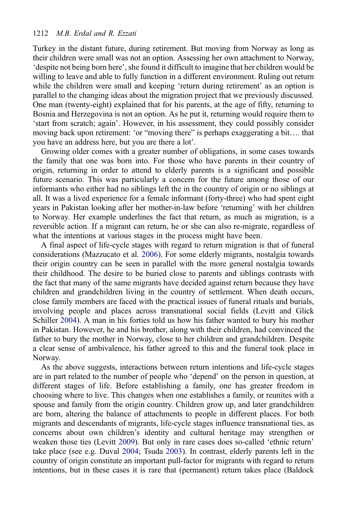Turkey in the distant future, during retirement. But moving from Norway as long as their children were small was not an option. Assessing her own attachment to Norway, 'despite not being born here', she found it difficult to imagine that her children would be willing to leave and able to fully function in a different environment. Ruling out return while the children were small and keeping 'return during retirement' as an option is parallel to the changing ideas about the migration project that we previously discussed. One man (twenty-eight) explained that for his parents, at the age of fifty, returning to Bosnia and Herzegovina is not an option. As he put it, returning would require them to 'start from scratch; again'. However, in his assessment, they could possibly consider moving back upon retirement: 'or "moving there" is perhaps exaggerating a bit…. that you have an address here, but you are there a lot'.

Growing older comes with a greater number of obligations, in some cases towards the family that one was born into. For those who have parents in their country of origin, returning in order to attend to elderly parents is a significant and possible future scenario. This was particularly a concern for the future among those of our informants who either had no siblings left the in the country of origin or no siblings at all. It was a lived experience for a female informant (forty-three) who had spent eight years in Pakistan looking after her mother-in-law before 'returning' with her children to Norway. Her example underlines the fact that return, as much as migration, is a reversible action. If a migrant can return, he or she can also re-migrate, regardless of what the intentions at various stages in the process might have been.

A final aspect of life-cycle stages with regard to return migration is that of funeral considerations (Mazzucato et al. [2006\)](#page-15-0). For some elderly migrants, nostalgia towards their origin country can be seen in parallel with the more general nostalgia towards their childhood. The desire to be buried close to parents and siblings contrasts with the fact that many of the same migrants have decided against return because they have children and grandchildren living in the country of settlement. When death occurs, close family members are faced with the practical issues of funeral rituals and burials, involving people and places across transnational social fields (Levitt and Glick Schiller [2004\)](#page-15-0). A man in his forties told us how his father wanted to bury his mother in Pakistan. However, he and his brother, along with their children, had convinced the father to bury the mother in Norway, close to her children and grandchildren. Despite a clear sense of ambivalence, his father agreed to this and the funeral took place in Norway.

As the above suggests, interactions between return intentions and life-cycle stages are in part related to the number of people who 'depend' on the person in question, at different stages of life. Before establishing a family, one has greater freedom in choosing where to live. This changes when one establishes a family, or reunites with a spouse and family from the origin country. Children grow up, and later grandchildren are born, altering the balance of attachments to people in different places. For both migrants and descendants of migrants, life-cycle stages influence transnational ties, as concerns about own children's identity and cultural heritage may strengthen or weaken those ties (Levitt [2009](#page-15-0)). But only in rare cases does so-called 'ethnic return' take place (see e.g. Duval [2004;](#page-14-0) Tsuda [2003](#page-16-0)). In contrast, elderly parents left in the country of origin constitute an important pull-factor for migrants with regard to return intentions, but in these cases it is rare that (permanent) return takes place (Baldock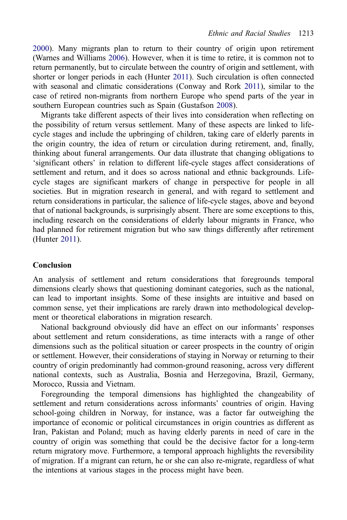[2000\)](#page-14-0). Many migrants plan to return to their country of origin upon retirement (Warnes and Williams [2006](#page-16-0)). However, when it is time to retire, it is common not to return permanently, but to circulate between the country of origin and settlement, with shorter or longer periods in each (Hunter [2011](#page-15-0)). Such circulation is often connected with seasonal and climatic considerations (Conway and Rork [2011](#page-14-0)), similar to the case of retired non-migrants from northern Europe who spend parts of the year in southern European countries such as Spain (Gustafson [2008](#page-15-0)).

Migrants take different aspects of their lives into consideration when reflecting on the possibility of return versus settlement. Many of these aspects are linked to lifecycle stages and include the upbringing of children, taking care of elderly parents in the origin country, the idea of return or circulation during retirement, and, finally, thinking about funeral arrangements. Our data illustrate that changing obligations to 'significant others' in relation to different life-cycle stages affect considerations of settlement and return, and it does so across national and ethnic backgrounds. Lifecycle stages are significant markers of change in perspective for people in all societies. But in migration research in general, and with regard to settlement and return considerations in particular, the salience of life-cycle stages, above and beyond that of national backgrounds, is surprisingly absent. There are some exceptions to this, including research on the considerations of elderly labour migrants in France, who had planned for retirement migration but who saw things differently after retirement (Hunter [2011](#page-15-0)).

#### Conclusion

An analysis of settlement and return considerations that foregrounds temporal dimensions clearly shows that questioning dominant categories, such as the national, can lead to important insights. Some of these insights are intuitive and based on common sense, yet their implications are rarely drawn into methodological development or theoretical elaborations in migration research.

National background obviously did have an effect on our informants' responses about settlement and return considerations, as time interacts with a range of other dimensions such as the political situation or career prospects in the country of origin or settlement. However, their considerations of staying in Norway or returning to their country of origin predominantly had common-ground reasoning, across very different national contexts, such as Australia, Bosnia and Herzegovina, Brazil, Germany, Morocco, Russia and Vietnam.

Foregrounding the temporal dimensions has highlighted the changeability of settlement and return considerations across informants' countries of origin. Having school-going children in Norway, for instance, was a factor far outweighing the importance of economic or political circumstances in origin countries as different as Iran, Pakistan and Poland; much as having elderly parents in need of care in the country of origin was something that could be the decisive factor for a long-term return migratory move. Furthermore, a temporal approach highlights the reversibility of migration. If a migrant can return, he or she can also re-migrate, regardless of what the intentions at various stages in the process might have been.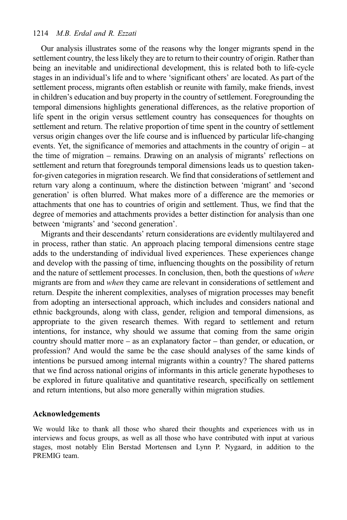#### 1214 M.B. Erdal and R. Ezzati

Our analysis illustrates some of the reasons why the longer migrants spend in the settlement country, the less likely they are to return to their country of origin. Rather than being an inevitable and unidirectional development, this is related both to life-cycle stages in an individual's life and to where 'significant others' are located. As part of the settlement process, migrants often establish or reunite with family, make friends, invest in children's education and buy property in the country of settlement. Foregrounding the temporal dimensions highlights generational differences, as the relative proportion of life spent in the origin versus settlement country has consequences for thoughts on settlement and return. The relative proportion of time spent in the country of settlement versus origin changes over the life course and is influenced by particular life-changing events. Yet, the significance of memories and attachments in the country of origin – at the time of migration – remains. Drawing on an analysis of migrants' reflections on settlement and return that foregrounds temporal dimensions leads us to question takenfor-given categories in migration research. We find that considerations of settlement and return vary along a continuum, where the distinction between 'migrant' and 'second generation' is often blurred. What makes more of a difference are the memories or attachments that one has to countries of origin and settlement. Thus, we find that the degree of memories and attachments provides a better distinction for analysis than one between 'migrants' and 'second generation'.

Migrants and their descendants' return considerations are evidently multilayered and in process, rather than static. An approach placing temporal dimensions centre stage adds to the understanding of individual lived experiences. These experiences change and develop with the passing of time, influencing thoughts on the possibility of return and the nature of settlement processes. In conclusion, then, both the questions of where migrants are from and when they came are relevant in considerations of settlement and return. Despite the inherent complexities, analyses of migration processes may benefit from adopting an intersectional approach, which includes and considers national and ethnic backgrounds, along with class, gender, religion and temporal dimensions, as appropriate to the given research themes. With regard to settlement and return intentions, for instance, why should we assume that coming from the same origin country should matter more – as an explanatory factor – than gender, or education, or profession? And would the same be the case should analyses of the same kinds of intentions be pursued among internal migrants within a country? The shared patterns that we find across national origins of informants in this article generate hypotheses to be explored in future qualitative and quantitative research, specifically on settlement and return intentions, but also more generally within migration studies.

#### Acknowledgements

We would like to thank all those who shared their thoughts and experiences with us in interviews and focus groups, as well as all those who have contributed with input at various stages, most notably Elin Berstad Mortensen and Lynn P. Nygaard, in addition to the PREMIG team.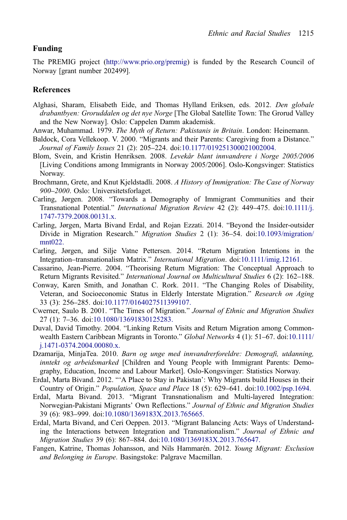#### <span id="page-14-0"></span>Funding

The PREMIG project [\(http://www.prio.org/premig\)](http://www.prio.org/premig) is funded by the Research Council of Norway [grant number 202499].

#### References

- Alghasi, Sharam, Elisabeth Eide, and Thomas Hylland Eriksen, eds. 2012. Den globale drabantbyen: Groruddalen og det nye Norge [The Global Satellite Town: The Grorud Valley and the New Norway]. Oslo: Cappelen Damm akademisk.
- Anwar, Muhammad. 1979. The Myth of Return: Pakistanis in Britain. London: Heinemann.
- Baldock, Cora Vellekoop. V. 2000. "Migrants and their Parents: Caregiving from a Distance." Journal of Family Issues 21 (2): 205–224. doi:[10.1177/019251300021002004.](http://dx.doi.org/10.1177/019251300021002004)
- Blom, Svein, and Kristin Henriksen. 2008. Levekår blant innvandrere i Norge 2005/2006 [Living Conditions among Immigrants in Norway 2005/2006]. Oslo-Kongsvinger: Statistics Norway.
- Brochmann, Grete, and Knut Kjeldstadli. 2008. A History of Immigration: The Case of Norway 900-2000. Oslo: Universitetsforlaget.
- Carling, Jørgen. 2008. "Towards a Demography of Immigrant Communities and their Transnational Potential." International Migration Review 42 (2): 449–475. doi[:10.1111/j.](http://dx.doi.org/10.1111/j.1747-7379.2008.00131.x) [1747-7379.2008.00131.x.](http://dx.doi.org/10.1111/j.1747-7379.2008.00131.x)
- Carling, Jørgen, Marta Bivand Erdal, and Rojan Ezzati. 2014. "Beyond the Insider-outsider Divide in Migration Research." Migration Studies 2 (1): 36–54. doi[:10.1093/migration/](http://dx.doi.org/10.1093/migration/mnt022) [mnt022.](http://dx.doi.org/10.1093/migration/mnt022)
- Carling, Jørgen, and Silje Vatne Pettersen. 2014. "Return Migration Intentions in the Integration–transnationalism Matrix." International Migration. doi[:10.1111/imig.12161.](http://dx.doi.org/10.1111/imig.12161)
- Cassarino, Jean-Pierre. 2004. "Theorising Return Migration: The Conceptual Approach to Return Migrants Revisited." International Journal on Multicultural Studies 6 (2): 162-188.
- Conway, Karen Smith, and Jonathan C. Rork. 2011. "The Changing Roles of Disability, Veteran, and Socioeconomic Status in Elderly Interstate Migration." Research on Aging 33 (3): 256–285. doi[:10.1177/0164027511399107.](http://dx.doi.org/10.1177/0164027511399107)
- Cwerner, Saulo B. 2001. "The Times of Migration." Journal of Ethnic and Migration Studies 27 (1): 7–36. doi[:10.1080/13691830125283.](http://dx.doi.org/10.1080/13691830125283)
- Duval, David Timothy. 2004. "Linking Return Visits and Return Migration among Commonwealth Eastern Caribbean Migrants in Toronto." Global Networks 4 (1): 51–67. doi[:10.1111/](http://dx.doi.org/10.1111/j.1471-0374.2004.00080.x) [j.1471-0374.2004.00080.x.](http://dx.doi.org/10.1111/j.1471-0374.2004.00080.x)
- Dzamarija, MinjaTea. 2010. Barn og unge med innvandrerforeldre: Demografi, utdanning, inntekt og arbeidsmarked [Children and Young People with Immigrant Parents: Demography, Education, Income and Labour Market]. Oslo-Kongsvinger: Statistics Norway.
- Erdal, Marta Bivand. 2012. "'A Place to Stay in Pakistan': Why Migrants build Houses in their Country of Origin." Population, Space and Place 18 (5): 629–641. doi:[10.1002/psp.1694.](http://dx.doi.org/10.1002/psp.1694)
- Erdal, Marta Bivand. 2013. "Migrant Transnationalism and Multi-layered Integration: Norwegian-Pakistani Migrants' Own Reflections." Journal of Ethnic and Migration Studies 39 (6): 983–999. doi[:10.1080/1369183X.2013.765665.](http://dx.doi.org/10.1080/1369183X.2013.765665)
- Erdal, Marta Bivand, and Ceri Oeppen. 2013. "Migrant Balancing Acts: Ways of Understanding the Interactions between Integration and Transnationalism." Journal of Ethnic and Migration Studies 39 (6): 867–884. doi:[10.1080/1369183X.2013.765647.](http://dx.doi.org/10.1080/1369183X.2013.765647)
- Fangen, Katrine, Thomas Johansson, and Nils Hammarén. 2012. Young Migrant: Exclusion and Belonging in Europe. Basingstoke: Palgrave Macmillan.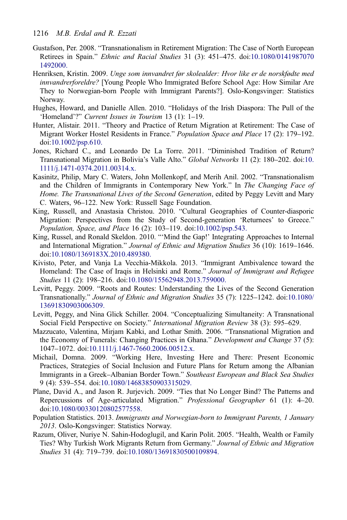- <span id="page-15-0"></span>Gustafson, Per. 2008. "Transnationalism in Retirement Migration: The Case of North European Retirees in Spain." Ethnic and Racial Studies 31 (3): 451–475. doi:[10.1080/0141987070](http://dx.doi.org/10.1080/01419870701492000) [1492000.](http://dx.doi.org/10.1080/01419870701492000)
- Henriksen, Kristin. 2009. Unge som innvandret før skolealder: Hvor like er de norskfødte med innvandrerforeldre? [Young People Who Immigrated Before School Age: How Similar Are They to Norwegian-born People with Immigrant Parents?]. Oslo-Kongsvinger: Statistics Norway.
- Hughes, Howard, and Danielle Allen. 2010. "Holidays of the Irish Diaspora: The Pull of the 'Homeland'?" Current Issues in Tourism 13 (1): 1–19.
- Hunter, Alistair. 2011. "Theory and Practice of Return Migration at Retirement: The Case of Migrant Worker Hostel Residents in France." Population Space and Place 17 (2): 179–192. doi[:10.1002/psp.610.](http://dx.doi.org/10.1002/psp.610)
- Jones, Richard C., and Leonardo De La Torre. 2011. "Diminished Tradition of Return? Transnational Migration in Bolivia's Valle Alto." Global Networks 11 (2): 180–202. doi:[10.](http://dx.doi.org/10.1111/j.1471-0374.2011.00314.x) [1111/j.1471-0374.2011.00314.x.](http://dx.doi.org/10.1111/j.1471-0374.2011.00314.x)
- Kasinitz, Philip, Mary C. Waters, John Mollenkopf, and Merih Anil. 2002. "Transnationalism and the Children of Immigrants in Contemporary New York." In The Changing Face of Home. The Transnational Lives of the Second Generation, edited by Peggy Levitt and Mary C. Waters, 96–122. New York: Russell Sage Foundation.
- King, Russell, and Anastasia Christou. 2010. "Cultural Geographies of Counter-diasporic Migration: Perspectives from the Study of Second-generation 'Returnees' to Greece." Population, Space, and Place 16 (2): 103–119. doi:[10.1002/psp.543.](http://dx.doi.org/10.1002/psp.543)
- King, Russel, and Ronald Skeldon. 2010. "'Mind the Gap!' Integrating Approaches to Internal and International Migration." Journal of Ethnic and Migration Studies 36 (10): 1619–1646. doi[:10.1080/1369183X.2010.489380.](http://dx.doi.org/10.1080/1369183X.2010.489380)
- Kivisto, Peter, and Vanja La Vecchia-Mikkola. 2013. "Immigrant Ambivalence toward the Homeland: The Case of Iraqis in Helsinki and Rome." Journal of Immigrant and Refugee Studies 11 (2): 198–216. doi[:10.1080/15562948.2013.759000.](http://dx.doi.org/10.1080/15562948.2013.759000)
- Levitt, Peggy. 2009. "Roots and Routes: Understanding the Lives of the Second Generation Transnationally." Journal of Ethnic and Migration Studies 35 (7): 1225–1242. doi[:10.1080/](http://dx.doi.org/10.1080/13691830903006309) [13691830903006309.](http://dx.doi.org/10.1080/13691830903006309)
- Levitt, Peggy, and Nina Glick Schiller. 2004. "Conceptualizing Simultaneity: A Transnational Social Field Perspective on Society." International Migration Review 38 (3): 595–629.
- Mazzucato, Valentina, Mirjam Kabki, and Lothar Smith. 2006. "Transnational Migration and the Economy of Funerals: Changing Practices in Ghana." Development and Change 37 (5): 1047–1072. doi[:10.1111/j.1467-7660.2006.00512.x.](http://dx.doi.org/10.1111/j.1467-7660.2006.00512.x)
- Michail, Domna. 2009. "Working Here, Investing Here and There: Present Economic Practices, Strategies of Social Inclusion and Future Plans for Return among the Albanian Immigrants in a Greek–Albanian Border Town." Southeast European and Black Sea Studies 9 (4): 539–554. doi[:10.1080/14683850903315029.](http://dx.doi.org/10.1080/14683850903315029)
- Plane, David A., and Jason R. Jurjevich. 2009. "Ties that No Longer Bind? The Patterns and Repercussions of Age-articulated Migration." Professional Geographer 61 (1): 4–20. doi[:10.1080/00330120802577558.](http://dx.doi.org/10.1080/00330120802577558)
- Population Statistics. 2013. Immigrants and Norwegian-born to Immigrant Parents, 1 January 2013. Oslo-Kongsvinger: Statistics Norway.
- Razum, Oliver, Nuriye N. Sahin-Hodoglugil, and Karin Polit. 2005. "Health, Wealth or Family Ties? Why Turkish Work Migrants Return from Germany." Journal of Ethnic and Migration Studies 31 (4): 719–739. doi[:10.1080/13691830500109894.](http://dx.doi.org/10.1080/13691830500109894)